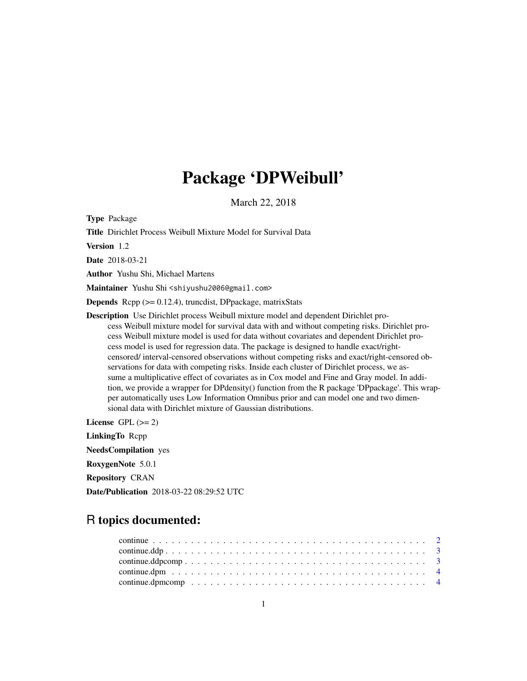## Package 'DPWeibull'

March 22, 2018

Type Package

Title Dirichlet Process Weibull Mixture Model for Survival Data

Version 1.2

Date 2018-03-21

Author Yushu Shi, Michael Martens

Maintainer Yushu Shi <shiyushu2006@gmail.com>

Depends Rcpp (>= 0.12.4), truncdist, DPpackage, matrixStats

Description Use Dirichlet process Weibull mixture model and dependent Dirichlet process Weibull mixture model for survival data with and without competing risks. Dirichlet process Weibull mixture model is used for data without covariates and dependent Dirichlet process model is used for regression data. The package is designed to handle exact/rightcensored/ interval-censored observations without competing risks and exact/right-censored observations for data with competing risks. Inside each cluster of Dirichlet process, we assume a multiplicative effect of covariates as in Cox model and Fine and Gray model. In addition, we provide a wrapper for DPdensity() function from the R package 'DPpackage'. This wrapper automatically uses Low Information Omnibus prior and can model one and two dimensional data with Dirichlet mixture of Gaussian distributions.

License GPL  $(>= 2)$ 

LinkingTo Rcpp NeedsCompilation yes RoxygenNote 5.0.1 Repository CRAN Date/Publication 2018-03-22 08:29:52 UTC

## R topics documented: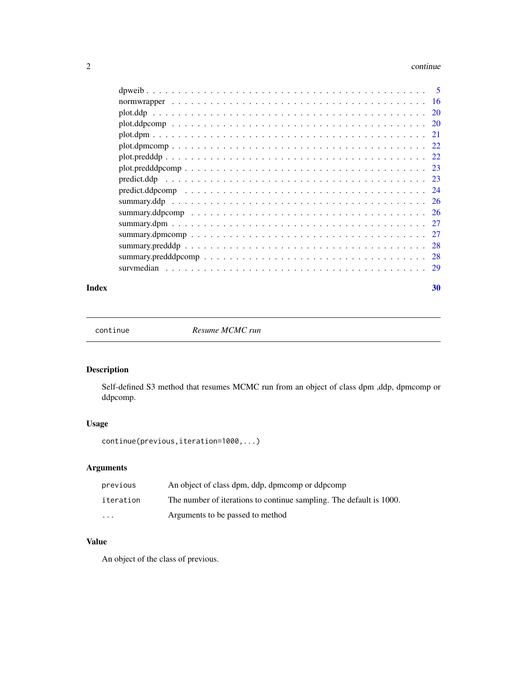#### <span id="page-1-0"></span>2 continue continue continue continue continue continue continue continue continue continue continue continue continue continue continue continue continue continue continue continue continue continue continue continue cont

| 28  |
|-----|
|     |
| -29 |
|     |

#### $\bf 30$  $\bf 30$

continue *Resume MCMC run*

## Description

Self-defined S3 method that resumes MCMC run from an object of class dpm ,ddp, dpmcomp or ddpcomp.

## Usage

continue(previous,iteration=1000,...)

## Arguments

| previous  | An object of class dpm, ddp, dpmcomp or ddpcomp                     |
|-----------|---------------------------------------------------------------------|
| iteration | The number of iterations to continue sampling. The default is 1000. |
| $\cdots$  | Arguments to be passed to method                                    |

## Value

An object of the class of previous.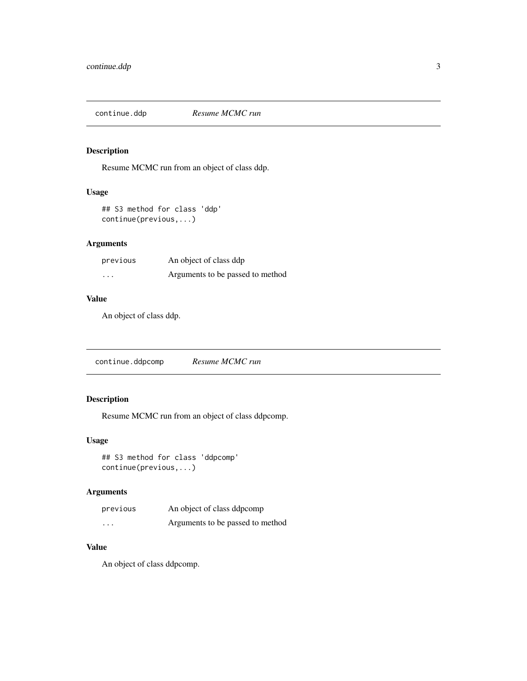<span id="page-2-0"></span>

Resume MCMC run from an object of class ddp.

#### Usage

```
## S3 method for class 'ddp'
continue(previous,...)
```
## Arguments

| previous | An object of class ddp           |
|----------|----------------------------------|
| $\cdots$ | Arguments to be passed to method |

## Value

An object of class ddp.

continue.ddpcomp *Resume MCMC run*

## Description

Resume MCMC run from an object of class ddpcomp.

## Usage

## S3 method for class 'ddpcomp' continue(previous,...)

## Arguments

| previous | An object of class ddpcomp       |
|----------|----------------------------------|
| .        | Arguments to be passed to method |

#### Value

An object of class ddpcomp.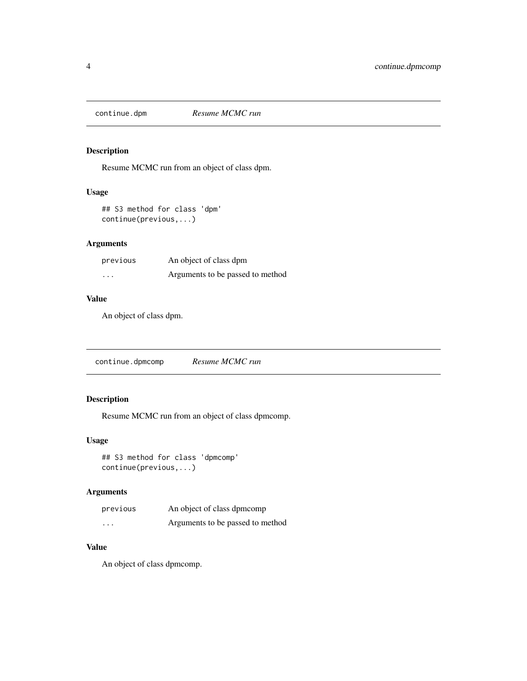<span id="page-3-0"></span>

Resume MCMC run from an object of class dpm.

#### Usage

## S3 method for class 'dpm' continue(previous,...)

## Arguments

| previous | An object of class dpm           |
|----------|----------------------------------|
| $\cdots$ | Arguments to be passed to method |

## Value

An object of class dpm.

continue.dpmcomp *Resume MCMC run*

## Description

Resume MCMC run from an object of class dpmcomp.

## Usage

## S3 method for class 'dpmcomp' continue(previous,...)

## Arguments

| previous | An object of class dpmcomp       |
|----------|----------------------------------|
| .        | Arguments to be passed to method |

#### Value

An object of class dpmcomp.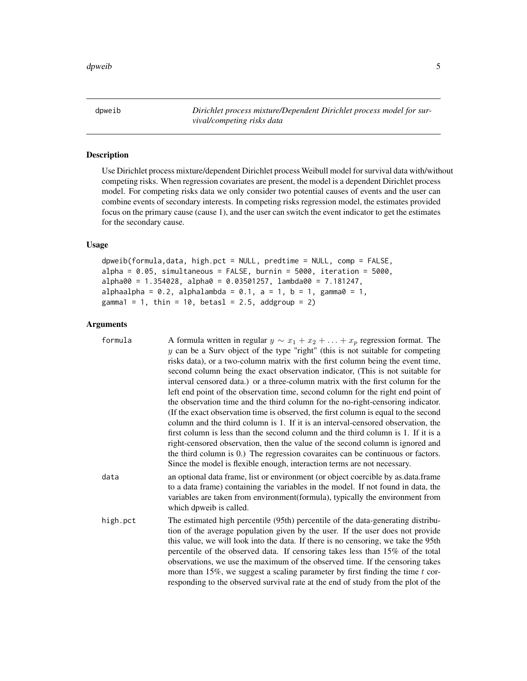<span id="page-4-0"></span>dpweib *Dirichlet process mixture/Dependent Dirichlet process model for survival/competing risks data*

#### Description

Use Dirichlet process mixture/dependent Dirichlet process Weibull model for survival data with/without competing risks. When regression covariates are present, the model is a dependent Dirichlet process model. For competing risks data we only consider two potential causes of events and the user can combine events of secondary interests. In competing risks regression model, the estimates provided focus on the primary cause (cause 1), and the user can switch the event indicator to get the estimates for the secondary cause.

## Usage

```
dpweib(formula,data, high.pct = NULL, predtime = NULL, comp = FALSE,
alpha = 0.05, simultaneous = FALSE, burnin = 5000, iteration = 5000,
alpha00 = 1.354028, alpha0 = 0.03501257, lambda00 = 7.181247,
alpha1phaa1pha = 0.2, alpha1phalambda = 0.1, a = 1, b = 1, gamma10 = 1,
gamma1 = 1, thin = 10, betasl = 2.5, addgroup = 2)
```
#### Arguments

| formula  | A formula written in regular $y \sim x_1 + x_2 + \ldots + x_p$ regression format. The<br>$y$ can be a Surv object of the type "right" (this is not suitable for competing<br>risks data), or a two-column matrix with the first column being the event time,<br>second column being the exact observation indicator, (This is not suitable for<br>interval censored data.) or a three-column matrix with the first column for the<br>left end point of the observation time, second column for the right end point of<br>the observation time and the third column for the no-right-censoring indicator. |
|----------|----------------------------------------------------------------------------------------------------------------------------------------------------------------------------------------------------------------------------------------------------------------------------------------------------------------------------------------------------------------------------------------------------------------------------------------------------------------------------------------------------------------------------------------------------------------------------------------------------------|
|          | (If the exact observation time is observed, the first column is equal to the second<br>column and the third column is 1. If it is an interval-censored observation, the<br>first column is less than the second column and the third column is 1. If it is a<br>right-censored observation, then the value of the second column is ignored and<br>the third column is 0.) The regression covaraites can be continuous or factors.<br>Since the model is flexible enough, interaction terms are not necessary.                                                                                            |
| data     | an optional data frame, list or environment (or object coercible by as data frame<br>to a data frame) containing the variables in the model. If not found in data, the<br>variables are taken from environment (formula), typically the environment from<br>which dpweib is called.                                                                                                                                                                                                                                                                                                                      |
| high.pct | The estimated high percentile (95th) percentile of the data-generating distribu-<br>tion of the average population given by the user. If the user does not provide<br>this value, we will look into the data. If there is no censoring, we take the 95th<br>percentile of the observed data. If censoring takes less than 15% of the total<br>observations, we use the maximum of the observed time. If the censoring takes<br>more than 15%, we suggest a scaling parameter by first finding the time $t$ cor-<br>responding to the observed survival rate at the end of study from the plot of the     |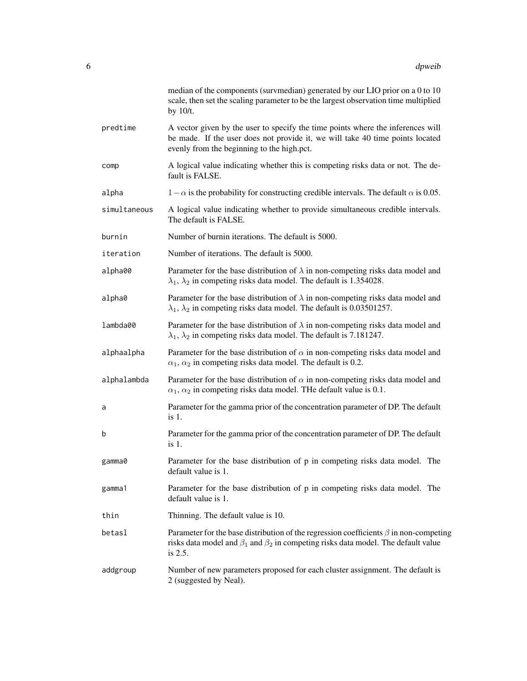|              | median of the components (survmedian) generated by our LIO prior on a 0 to 10<br>scale, then set the scaling parameter to be the largest observation time multiplied<br>by 10/t.                               |
|--------------|----------------------------------------------------------------------------------------------------------------------------------------------------------------------------------------------------------------|
| predtime     | A vector given by the user to specify the time points where the inferences will<br>be made. If the user does not provide it, we will take 40 time points located<br>evenly from the beginning to the high.pct. |
| comp         | A logical value indicating whether this is competing risks data or not. The de-<br>fault is FALSE.                                                                                                             |
| alpha        | $1 - \alpha$ is the probability for constructing credible intervals. The default $\alpha$ is 0.05.                                                                                                             |
| simultaneous | A logical value indicating whether to provide simultaneous credible intervals.<br>The default is FALSE.                                                                                                        |
| burnin       | Number of burnin iterations. The default is 5000.                                                                                                                                                              |
| iteration    | Number of iterations. The default is 5000.                                                                                                                                                                     |
| alpha00      | Parameter for the base distribution of $\lambda$ in non-competing risks data model and<br>$\lambda_1$ , $\lambda_2$ in competing risks data model. The default is 1.354028.                                    |
| alpha0       | Parameter for the base distribution of $\lambda$ in non-competing risks data model and<br>$\lambda_1$ , $\lambda_2$ in competing risks data model. The default is 0.03501257.                                  |
| lambda00     | Parameter for the base distribution of $\lambda$ in non-competing risks data model and<br>$\lambda_1$ , $\lambda_2$ in competing risks data model. The default is 7.181247.                                    |
| alphaalpha   | Parameter for the base distribution of $\alpha$ in non-competing risks data model and<br>$\alpha_1$ , $\alpha_2$ in competing risks data model. The default is 0.2.                                            |
| alphalambda  | Parameter for the base distribution of $\alpha$ in non-competing risks data model and<br>$\alpha_1, \alpha_2$ in competing risks data model. The default value is 0.1.                                         |
| a            | Parameter for the gamma prior of the concentration parameter of DP. The default<br>$is1$ .                                                                                                                     |
| b            | Parameter for the gamma prior of the concentration parameter of DP. The default<br>is 1.                                                                                                                       |
| gamma0       | Parameter for the base distribution of p in competing risks data model. The<br>default value is 1.                                                                                                             |
| gamma1       | Parameter for the base distribution of p in competing risks data model. The<br>default value is 1.                                                                                                             |
| thin         | Thinning. The default value is 10.                                                                                                                                                                             |
| betasl       | Parameter for the base distribution of the regression coefficients $\beta$ in non-competing<br>risks data model and $\beta_1$ and $\beta_2$ in competing risks data model. The default value<br>is 2.5.        |
| addgroup     | Number of new parameters proposed for each cluster assignment. The default is<br>2 (suggested by Neal).                                                                                                        |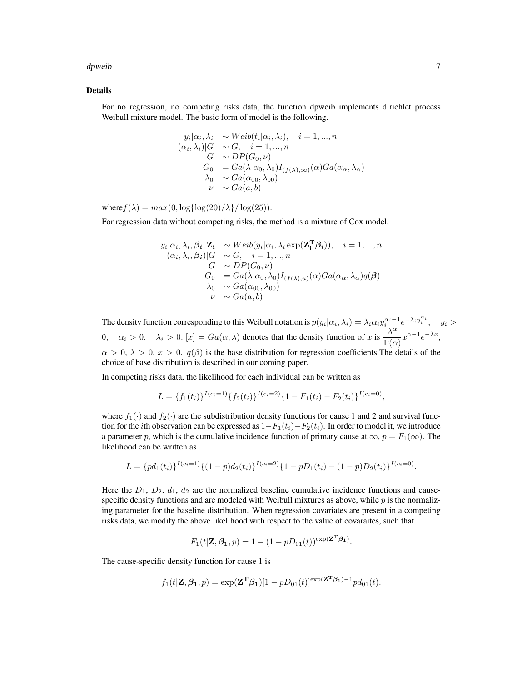dpweib **7** and 2008 and 2008 and 2008 and 2008 and 2008 and 2008 and 2008 and 2008 and 2008 and 2008 and 2008 and 2008 and 2008 and 2008 and 2008 and 2008 and 2008 and 2008 and 2008 and 2008 and 2008 and 2008 and 2008 and

#### Details

For no regression, no competing risks data, the function dpweib implements dirichlet process Weibull mixture model. The basic form of model is the following.

$$
y_i|\alpha_i, \lambda_i \sim Weib(t_i|\alpha_i, \lambda_i), \quad i = 1, ..., n
$$
  
\n
$$
(\alpha_i, \lambda_i)|G \sim G, \quad i = 1, ..., n
$$
  
\n
$$
G \sim DP(G_0, \nu)
$$
  
\n
$$
G_0 = Ga(\lambda|\alpha_0, \lambda_0)I_{(f(\lambda), \infty)}(\alpha)Ga(\alpha_\alpha, \lambda_\alpha)
$$
  
\n
$$
\lambda_0 \sim Ga(\alpha_{00}, \lambda_{00})
$$
  
\n
$$
\nu \sim Ga(a, b)
$$

where  $f(\lambda) = max(0, \log{\log(20)/\lambda})/\log(25)$ .

For regression data without competing risks, the method is a mixture of Cox model.

$$
y_i|\alpha_i, \lambda_i, \beta_i, \mathbf{Z_i} \sim Weib(y_i|\alpha_i, \lambda_i \exp(\mathbf{Z_i^T}\beta_i)), \quad i = 1, ..., n
$$
  
\n
$$
(\alpha_i, \lambda_i, \beta_i)|G \sim G, \quad i = 1, ..., n
$$
  
\n
$$
G \sim DP(G_0, \nu)
$$
  
\n
$$
G_0 = Ga(\lambda|\alpha_0, \lambda_0)I_{(f(\lambda), u)}(\alpha)Ga(\alpha_\alpha, \lambda_\alpha)q(\beta)
$$
  
\n
$$
\lambda_0 \sim Ga(\alpha_{00}, \lambda_{00})
$$
  
\n
$$
\nu \sim Ga(a, b)
$$

The density function corresponding to this Weibull notation is  $p(y_i|\alpha_i,\lambda_i) = \lambda_i \alpha_i y_i^{\alpha_i-1} e^{-\lambda_i y_i^{\alpha_i}}$ ,  $y_i >$  $\alpha_i > 0, \quad \lambda_i > 0.$  [x] =  $Ga(\alpha, \lambda)$  denotes that the density function of x is  $\frac{\lambda^{\alpha}}{\Gamma(\alpha)}$  $\frac{\Lambda}{\Gamma(\alpha)} x^{\alpha-1} e^{-\lambda x},$  $\alpha > 0$ ,  $\lambda > 0$ ,  $x > 0$ .  $q(\beta)$  is the base distribution for regression coefficients. The details of the choice of base distribution is described in our coming paper.

In competing risks data, the likelihood for each individual can be written as

$$
L = \{f_1(t_i)\}^{I(c_i=1)} \{f_2(t_i)\}^{I(c_i=2)} \{1 - F_1(t_i) - F_2(t_i)\}^{I(c_i=0)}
$$

,

where  $f_1(\cdot)$  and  $f_2(\cdot)$  are the subdistribution density functions for cause 1 and 2 and survival function for the *i*th observation can be expressed as  $1-F_1(t_i)-F_2(t_i)$ . In order to model it, we introduce a parameter p, which is the cumulative incidence function of primary cause at  $\infty$ ,  $p = F_1(\infty)$ . The likelihood can be written as

$$
L = \{pd_1(t_i)\}^{I(c_i=1)} \{(1-p)d_2(t_i)\}^{I(c_i=2)} \{1-pD_1(t_i)-(1-p)D_2(t_i)\}^{I(c_i=0)}.
$$

Here the  $D_1$ ,  $D_2$ ,  $d_1$ ,  $d_2$  are the normalized baseline cumulative incidence functions and causespecific density functions and are modeled with Weibull mixtures as above, while  $p$  is the normalizing parameter for the baseline distribution. When regression covariates are present in a competing risks data, we modify the above likelihood with respect to the value of covaraites, such that

$$
F_1(t|\mathbf{Z}, \beta_1, p) = 1 - (1 - pD_{01}(t))^{\exp(\mathbf{Z}^{\mathbf{T}}\beta_1)}.
$$

The cause-specific density function for cause 1 is

$$
f_1(t|\mathbf{Z}, \beta_1, p) = \exp(\mathbf{Z}^{\mathbf{T}} \beta_1)[1 - pD_{01}(t)]^{\exp(\mathbf{Z}^{\mathbf{T}} \beta_1) - 1} p d_{01}(t).
$$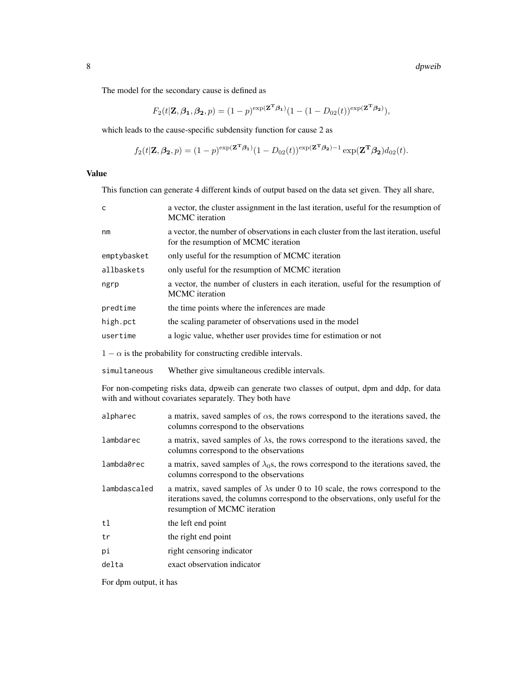The model for the secondary cause is defined as

$$
F_2(t|\mathbf{Z}, \beta_1, \beta_2, p) = (1-p)^{\exp(\mathbf{Z}^{\mathbf{T}}\beta_1)}(1 - (1 - D_{02}(t))^{\exp(\mathbf{Z}^{\mathbf{T}}\beta_2)}),
$$

which leads to the cause-specific subdensity function for cause 2 as

$$
f_2(t|\mathbf{Z}, \boldsymbol{\beta_2}, p) = (1-p)^{\exp(\mathbf{Z}^{\mathbf{T}}\boldsymbol{\beta_1})}(1 - D_{02}(t))^{\exp(\mathbf{Z}^{\mathbf{T}}\boldsymbol{\beta_2}) - 1} \exp(\mathbf{Z}^{\mathbf{T}}\boldsymbol{\beta_2}) d_{02}(t).
$$

Value

This function can generate 4 different kinds of output based on the data set given. They all share,

| c                                                                                                                                                        | a vector, the cluster assignment in the last iteration, useful for the resumption of<br><b>MCMC</b> iteration                                                                                               |  |  |  |  |  |
|----------------------------------------------------------------------------------------------------------------------------------------------------------|-------------------------------------------------------------------------------------------------------------------------------------------------------------------------------------------------------------|--|--|--|--|--|
| nm                                                                                                                                                       | a vector, the number of observations in each cluster from the last iteration, useful<br>for the resumption of MCMC iteration                                                                                |  |  |  |  |  |
| emptybasket                                                                                                                                              | only useful for the resumption of MCMC iteration                                                                                                                                                            |  |  |  |  |  |
| allbaskets                                                                                                                                               | only useful for the resumption of MCMC iteration                                                                                                                                                            |  |  |  |  |  |
| ngrp                                                                                                                                                     | a vector, the number of clusters in each iteration, useful for the resumption of<br><b>MCMC</b> iteration                                                                                                   |  |  |  |  |  |
| predtime                                                                                                                                                 | the time points where the inferences are made                                                                                                                                                               |  |  |  |  |  |
| high.pct                                                                                                                                                 | the scaling parameter of observations used in the model                                                                                                                                                     |  |  |  |  |  |
| usertime                                                                                                                                                 | a logic value, whether user provides time for estimation or not                                                                                                                                             |  |  |  |  |  |
|                                                                                                                                                          | $1 - \alpha$ is the probability for constructing credible intervals.                                                                                                                                        |  |  |  |  |  |
| simultaneous                                                                                                                                             | Whether give simultaneous credible intervals.                                                                                                                                                               |  |  |  |  |  |
| For non-competing risks data, dpweib can generate two classes of output, dpm and ddp, for data<br>with and without covariates separately. They both have |                                                                                                                                                                                                             |  |  |  |  |  |
| alpharec                                                                                                                                                 | a matrix, saved samples of $\alpha s$ , the rows correspond to the iterations saved, the<br>columns correspond to the observations                                                                          |  |  |  |  |  |
| lambdarec                                                                                                                                                | a matrix, saved samples of $\lambda$ s, the rows correspond to the iterations saved, the<br>columns correspond to the observations                                                                          |  |  |  |  |  |
| lambda0rec                                                                                                                                               | a matrix, saved samples of $\lambda_0$ s, the rows correspond to the iterations saved, the<br>columns correspond to the observations                                                                        |  |  |  |  |  |
| lambdascaled                                                                                                                                             | a matrix, saved samples of $\lambda$ s under 0 to 10 scale, the rows correspond to the<br>iterations saved, the columns correspond to the observations, only useful for the<br>resumption of MCMC iteration |  |  |  |  |  |
| t1                                                                                                                                                       | the left end point                                                                                                                                                                                          |  |  |  |  |  |
| tr                                                                                                                                                       | the right end point                                                                                                                                                                                         |  |  |  |  |  |
| рi                                                                                                                                                       | right censoring indicator                                                                                                                                                                                   |  |  |  |  |  |
| delta                                                                                                                                                    | exact observation indicator                                                                                                                                                                                 |  |  |  |  |  |

For dpm output, it has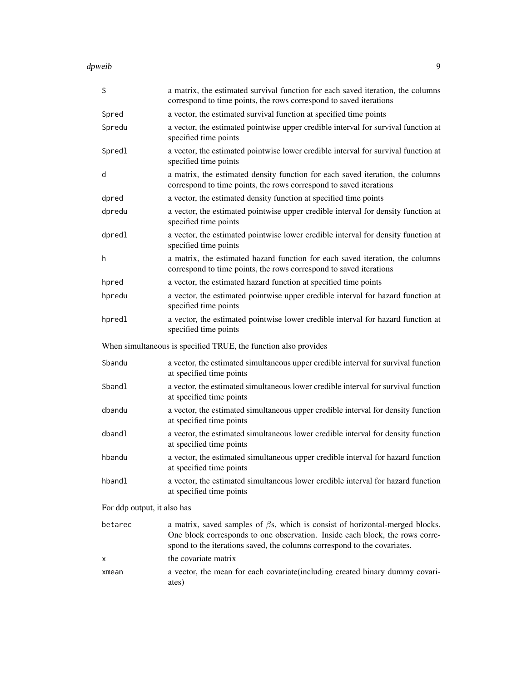dpweib 30 and 200 and 200 and 200 and 200 and 200 and 200 and 200 and 200 and 200 and 200 and 200 and 200 and

| S                           | a matrix, the estimated survival function for each saved iteration, the columns<br>correspond to time points, the rows correspond to saved iterations                                                                                            |
|-----------------------------|--------------------------------------------------------------------------------------------------------------------------------------------------------------------------------------------------------------------------------------------------|
| Spred                       | a vector, the estimated survival function at specified time points                                                                                                                                                                               |
| Spredu                      | a vector, the estimated pointwise upper credible interval for survival function at<br>specified time points                                                                                                                                      |
| Spredl                      | a vector, the estimated pointwise lower credible interval for survival function at<br>specified time points                                                                                                                                      |
| d                           | a matrix, the estimated density function for each saved iteration, the columns<br>correspond to time points, the rows correspond to saved iterations                                                                                             |
| dpred                       | a vector, the estimated density function at specified time points                                                                                                                                                                                |
| dpredu                      | a vector, the estimated pointwise upper credible interval for density function at<br>specified time points                                                                                                                                       |
| dpredl                      | a vector, the estimated pointwise lower credible interval for density function at<br>specified time points                                                                                                                                       |
| h                           | a matrix, the estimated hazard function for each saved iteration, the columns<br>correspond to time points, the rows correspond to saved iterations                                                                                              |
| hpred                       | a vector, the estimated hazard function at specified time points                                                                                                                                                                                 |
| hpredu                      | a vector, the estimated pointwise upper credible interval for hazard function at<br>specified time points                                                                                                                                        |
| hpredl                      | a vector, the estimated pointwise lower credible interval for hazard function at<br>specified time points                                                                                                                                        |
|                             | When simultaneous is specified TRUE, the function also provides                                                                                                                                                                                  |
|                             |                                                                                                                                                                                                                                                  |
| Sbandu                      | a vector, the estimated simultaneous upper credible interval for survival function<br>at specified time points                                                                                                                                   |
| Sbandl                      | a vector, the estimated simultaneous lower credible interval for survival function<br>at specified time points                                                                                                                                   |
| dbandu                      | a vector, the estimated simultaneous upper credible interval for density function<br>at specified time points                                                                                                                                    |
| dbandl                      | a vector, the estimated simultaneous lower credible interval for density function<br>at specified time points                                                                                                                                    |
| hbandu                      | a vector, the estimated simultaneous upper credible interval for hazard function<br>at specified time points                                                                                                                                     |
| hbandl                      | a vector, the estimated simultaneous lower credible interval for hazard function<br>at specified time points                                                                                                                                     |
| For ddp output, it also has |                                                                                                                                                                                                                                                  |
| betarec                     | a matrix, saved samples of $\beta s$ , which is consist of horizontal-merged blocks.<br>One block corresponds to one observation. Inside each block, the rows corre-<br>spond to the iterations saved, the columns correspond to the covariates. |
| х                           | the covariate matrix                                                                                                                                                                                                                             |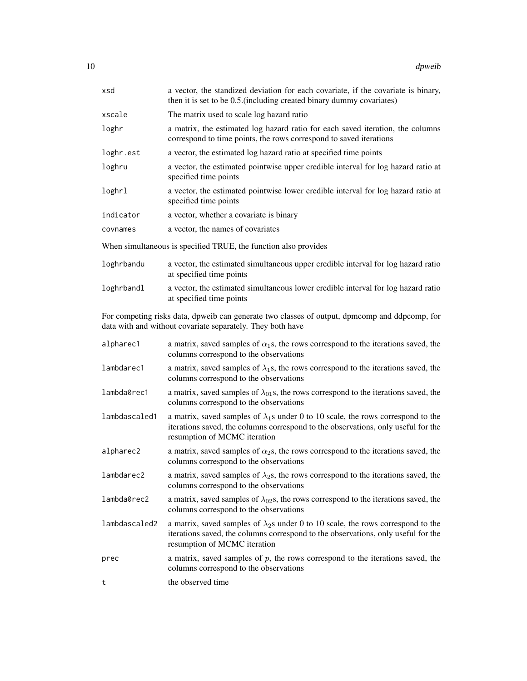| xsd           | a vector, the standized deviation for each covariate, if the covariate is binary,<br>then it is set to be 0.5. (including created binary dummy covariates)                                                    |
|---------------|---------------------------------------------------------------------------------------------------------------------------------------------------------------------------------------------------------------|
| xscale        | The matrix used to scale log hazard ratio                                                                                                                                                                     |
| loghr         | a matrix, the estimated log hazard ratio for each saved iteration, the columns<br>correspond to time points, the rows correspond to saved iterations                                                          |
| loghr.est     | a vector, the estimated log hazard ratio at specified time points                                                                                                                                             |
| loghru        | a vector, the estimated pointwise upper credible interval for log hazard ratio at<br>specified time points                                                                                                    |
| loghrl        | a vector, the estimated pointwise lower credible interval for log hazard ratio at<br>specified time points                                                                                                    |
| indicator     | a vector, whether a covariate is binary                                                                                                                                                                       |
| covnames      | a vector, the names of covariates                                                                                                                                                                             |
|               | When simultaneous is specified TRUE, the function also provides                                                                                                                                               |
| loghrbandu    | a vector, the estimated simultaneous upper credible interval for log hazard ratio<br>at specified time points                                                                                                 |
| loghrbandl    | a vector, the estimated simultaneous lower credible interval for log hazard ratio<br>at specified time points                                                                                                 |
|               | For competing risks data, dpweib can generate two classes of output, dpmcomp and ddpcomp, for<br>data with and without covariate separately. They both have                                                   |
| alpharec1     | a matrix, saved samples of $\alpha_1$ s, the rows correspond to the iterations saved, the<br>columns correspond to the observations                                                                           |
| lambdarec1    | a matrix, saved samples of $\lambda_1$ s, the rows correspond to the iterations saved, the<br>columns correspond to the observations                                                                          |
| lambda0rec1   | a matrix, saved samples of $\lambda_{01}$ s, the rows correspond to the iterations saved, the<br>columns correspond to the observations                                                                       |
| lambdascaled1 | a matrix, saved samples of $\lambda_1$ s under 0 to 10 scale, the rows correspond to the<br>iterations saved, the columns correspond to the observations, only useful for the<br>resumption of MCMC iteration |
| alpharec2     | a matrix, saved samples of $\alpha_2$ s, the rows correspond to the iterations saved, the<br>columns correspond to the observations                                                                           |
| lambdarec2    | a matrix, saved samples of $\lambda_2$ s, the rows correspond to the iterations saved, the<br>columns correspond to the observations                                                                          |
| lambda0rec2   | a matrix, saved samples of $\lambda_{02}$ s, the rows correspond to the iterations saved, the<br>columns correspond to the observations                                                                       |

- lambdascaled2 a matrix, saved samples of  $\lambda_2$ s under 0 to 10 scale, the rows correspond to the iterations saved, the columns correspond to the observations, only useful for the resumption of MCMC iteration
- prec a matrix, saved samples of  $p$ , the rows correspond to the iterations saved, the columns correspond to the observations

t the observed time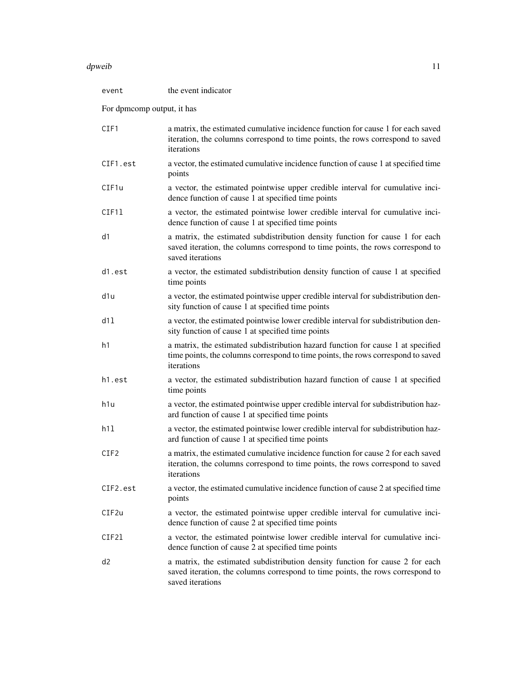#### dpweib 11 and 12 and 12 and 12 and 12 and 12 and 12 and 12 and 12 and 12 and 12 and 12 and 12 and 12 and 12 and 12 and 12 and 12 and 12 and 12 and 12 and 12 and 12 and 12 and 12 and 12 and 12 and 12 and 12 and 12 and 12 an

| event                      | the event indicator                                                                                                                                                                 |  |  |  |
|----------------------------|-------------------------------------------------------------------------------------------------------------------------------------------------------------------------------------|--|--|--|
| For dpmcomp output, it has |                                                                                                                                                                                     |  |  |  |
| CIF1                       | a matrix, the estimated cumulative incidence function for cause 1 for each saved<br>iteration, the columns correspond to time points, the rows correspond to saved<br>iterations    |  |  |  |
| CIF1.est                   | a vector, the estimated cumulative incidence function of cause 1 at specified time<br>points                                                                                        |  |  |  |
| CIF1u                      | a vector, the estimated pointwise upper credible interval for cumulative inci-<br>dence function of cause 1 at specified time points                                                |  |  |  |
| CIF11                      | a vector, the estimated pointwise lower credible interval for cumulative inci-<br>dence function of cause 1 at specified time points                                                |  |  |  |
| d1                         | a matrix, the estimated subdistribution density function for cause 1 for each<br>saved iteration, the columns correspond to time points, the rows correspond to<br>saved iterations |  |  |  |
| d1.est                     | a vector, the estimated subdistribution density function of cause 1 at specified<br>time points                                                                                     |  |  |  |
| d1u                        | a vector, the estimated pointwise upper credible interval for subdistribution den-<br>sity function of cause 1 at specified time points                                             |  |  |  |
| d11                        | a vector, the estimated pointwise lower credible interval for subdistribution den-<br>sity function of cause 1 at specified time points                                             |  |  |  |
| h1                         | a matrix, the estimated subdistribution hazard function for cause 1 at specified<br>time points, the columns correspond to time points, the rows correspond to saved<br>iterations  |  |  |  |
| h1.est                     | a vector, the estimated subdistribution hazard function of cause 1 at specified<br>time points                                                                                      |  |  |  |
| h1u                        | a vector, the estimated pointwise upper credible interval for subdistribution haz-<br>ard function of cause 1 at specified time points                                              |  |  |  |
| h11                        | a vector, the estimated pointwise lower credible interval for subdistribution haz-<br>ard function of cause 1 at specified time points                                              |  |  |  |
| CIF <sub>2</sub>           | a matrix, the estimated cumulative incidence function for cause 2 for each saved<br>iteration, the columns correspond to time points, the rows correspond to saved<br>iterations    |  |  |  |
| CIF2.est                   | a vector, the estimated cumulative incidence function of cause 2 at specified time<br>points                                                                                        |  |  |  |
| CIF2u                      | a vector, the estimated pointwise upper credible interval for cumulative inci-<br>dence function of cause 2 at specified time points                                                |  |  |  |
| CIF21                      | a vector, the estimated pointwise lower credible interval for cumulative inci-<br>dence function of cause 2 at specified time points                                                |  |  |  |
| d <sub>2</sub>             | a matrix, the estimated subdistribution density function for cause 2 for each<br>saved iteration, the columns correspond to time points, the rows correspond to<br>saved iterations |  |  |  |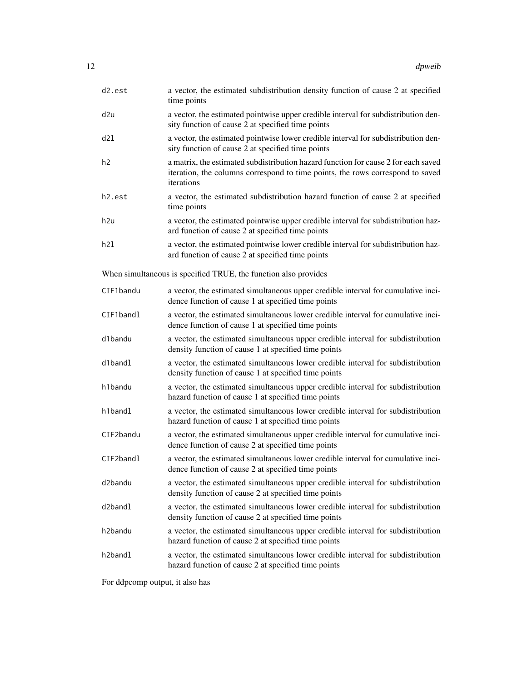| d2.est               | a vector, the estimated subdistribution density function of cause 2 at specified<br>time points                                                                                    |
|----------------------|------------------------------------------------------------------------------------------------------------------------------------------------------------------------------------|
| d2u                  | a vector, the estimated pointwise upper credible interval for subdistribution den-<br>sity function of cause 2 at specified time points                                            |
| d21                  | a vector, the estimated pointwise lower credible interval for subdistribution den-<br>sity function of cause 2 at specified time points                                            |
| h2                   | a matrix, the estimated subdistribution hazard function for cause 2 for each saved<br>iteration, the columns correspond to time points, the rows correspond to saved<br>iterations |
| h2.est               | a vector, the estimated subdistribution hazard function of cause 2 at specified<br>time points                                                                                     |
| h2u                  | a vector, the estimated pointwise upper credible interval for subdistribution haz-<br>ard function of cause 2 at specified time points                                             |
| h2l                  | a vector, the estimated pointwise lower credible interval for subdistribution haz-<br>ard function of cause 2 at specified time points                                             |
|                      | When simultaneous is specified TRUE, the function also provides                                                                                                                    |
| CIF1bandu            | a vector, the estimated simultaneous upper credible interval for cumulative inci-<br>dence function of cause 1 at specified time points                                            |
| CIF1bandl            | a vector, the estimated simultaneous lower credible interval for cumulative inci-<br>dence function of cause 1 at specified time points                                            |
| d1bandu              | a vector, the estimated simultaneous upper credible interval for subdistribution<br>density function of cause 1 at specified time points                                           |
| d1bandl              | a vector, the estimated simultaneous lower credible interval for subdistribution<br>density function of cause 1 at specified time points                                           |
| h1bandu              | a vector, the estimated simultaneous upper credible interval for subdistribution<br>hazard function of cause 1 at specified time points                                            |
| h1bandl              | a vector, the estimated simultaneous lower credible interval for subdistribution<br>hazard function of cause 1 at specified time points                                            |
| CIF2bandu            | a vector, the estimated simultaneous upper credible interval for cumulative inci-<br>dence function of cause 2 at specified time points                                            |
| CIF2bandl            | a vector, the estimated simultaneous lower credible interval for cumulative inci-<br>dence function of cause 2 at specified time points                                            |
| d2bandu              | a vector, the estimated simultaneous upper credible interval for subdistribution<br>density function of cause 2 at specified time points                                           |
| d2bandl              | a vector, the estimated simultaneous lower credible interval for subdistribution<br>density function of cause 2 at specified time points                                           |
| h <sub>2</sub> bandu | a vector, the estimated simultaneous upper credible interval for subdistribution<br>hazard function of cause 2 at specified time points                                            |
| h2bandl              | a vector, the estimated simultaneous lower credible interval for subdistribution<br>hazard function of cause 2 at specified time points                                            |

For ddpcomp output, it also has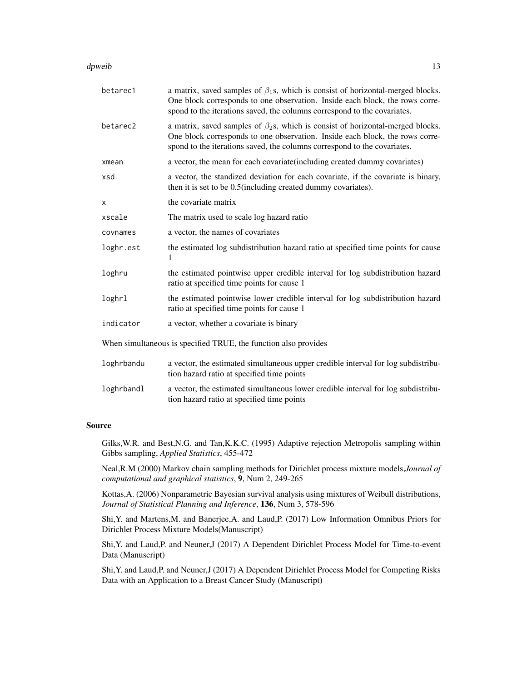#### dpweib 13

| betarec1   | a matrix, saved samples of $\beta_1$ s, which is consist of horizontal-merged blocks.<br>One block corresponds to one observation. Inside each block, the rows corre-<br>spond to the iterations saved, the columns correspond to the covariates. |  |  |
|------------|---------------------------------------------------------------------------------------------------------------------------------------------------------------------------------------------------------------------------------------------------|--|--|
| betarec2   | a matrix, saved samples of $\beta_2$ s, which is consist of horizontal-merged blocks.<br>One block corresponds to one observation. Inside each block, the rows corre-<br>spond to the iterations saved, the columns correspond to the covariates. |  |  |
| xmean      | a vector, the mean for each covariate (including created dummy covariates)                                                                                                                                                                        |  |  |
| xsd        | a vector, the standized deviation for each covariate, if the covariate is binary,<br>then it is set to be 0.5(including created dummy covariates).                                                                                                |  |  |
| X          | the covariate matrix                                                                                                                                                                                                                              |  |  |
| xscale     | The matrix used to scale log hazard ratio                                                                                                                                                                                                         |  |  |
| covnames   | a vector, the names of covariates                                                                                                                                                                                                                 |  |  |
| loghr.est  | the estimated log subdistribution hazard ratio at specified time points for cause<br>1                                                                                                                                                            |  |  |
| loghru     | the estimated pointwise upper credible interval for log subdistribution hazard<br>ratio at specified time points for cause 1                                                                                                                      |  |  |
| loghrl     | the estimated pointwise lower credible interval for log subdistribution hazard<br>ratio at specified time points for cause 1                                                                                                                      |  |  |
| indicator  | a vector, whether a covariate is binary                                                                                                                                                                                                           |  |  |
|            | When simultaneous is specified TRUE, the function also provides                                                                                                                                                                                   |  |  |
| loghrbandu | a vector, the estimated simultaneous upper credible interval for log subdistribu-<br>tion hazard ratio at specified time points                                                                                                                   |  |  |
| loghrbandl | a vector, the estimated simultaneous lower credible interval for log subdistribu-<br>tion hazard ratio at specified time points                                                                                                                   |  |  |
|            |                                                                                                                                                                                                                                                   |  |  |

#### Source

Gilks,W.R. and Best,N.G. and Tan,K.K.C. (1995) Adaptive rejection Metropolis sampling within Gibbs sampling, *Applied Statistics*, 455-472

Neal,R.M (2000) Markov chain sampling methods for Dirichlet process mixture models,*Journal of computational and graphical statistics*, 9, Num 2, 249-265

Kottas,A. (2006) Nonparametric Bayesian survival analysis using mixtures of Weibull distributions, *Journal of Statistical Planning and Inference*, 136, Num 3, 578-596

Shi,Y. and Martens,M. and Banerjee,A. and Laud,P. (2017) Low Information Omnibus Priors for Dirichlet Process Mixture Models(Manuscript)

Shi,Y. and Laud,P. and Neuner,J (2017) A Dependent Dirichlet Process Model for Time-to-event Data (Manuscript)

Shi,Y. and Laud,P. and Neuner,J (2017) A Dependent Dirichlet Process Model for Competing Risks Data with an Application to a Breast Cancer Study (Manuscript)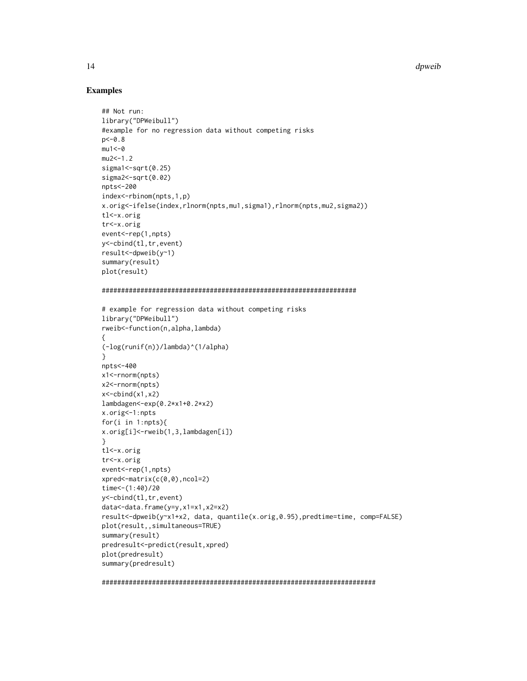14 degree of the contract of the contract of the contract of the contract of the contract of the contract of the contract of the contract of the contract of the contract of the contract of the contract of the contract of t

#### Examples

```
## Not run:
library("DPWeibull")
#example for no regression data without competing risks
p < -0.8mu1<-0mu2<-1.2sigma1 <- sqrt(0.25)
sigma2 <- sqrt(0.02)
npts<-200
index<-rbinom(npts,1,p)
x.orig<-ifelse(index,rlnorm(npts,mu1,sigma1),rlnorm(npts,mu2,sigma2))
tl<-x.orig
tr<-x.orig
event<-rep(1,npts)
y<-cbind(tl,tr,event)
result<-dpweib(y~1)
summary(result)
plot(result)
##################################################################
# example for regression data without competing risks
library("DPWeibull")
rweib<-function(n,alpha,lambda)
{
(-log(runif(n))/lambda)^(1/alpha)
}
npts<-400
x1<-rnorm(npts)
x2<-rnorm(npts)
x<-cbind(x1,x2)
lambdagen<-exp(0.2*x1+0.2*x2)
x.orig<-1:npts
for(i in 1:npts){
x.orig[i]<-rweib(1,3,lambdagen[i])
}
tl<-x.orig
tr<-x.orig
event<-rep(1,npts)
xpred<-matrix(c(0,0),ncol=2)
time < -(1:40)/20y<-cbind(tl,tr,event)
data<-data.frame(y=y,x1=x1,x2=x2)
result<-dpweib(y~x1+x2, data, quantile(x.orig,0.95),predtime=time, comp=FALSE)
plot(result,,simultaneous=TRUE)
summary(result)
predresult<-predict(result,xpred)
plot(predresult)
summary(predresult)
```
#######################################################################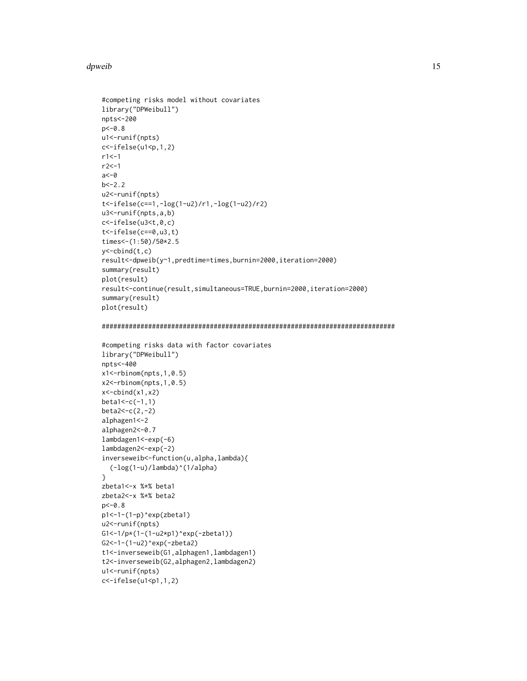#### dpweib 15

```
#competing risks model without covariates
library("DPWeibull")
npts<-200
p<-0.8
u1<-runif(npts)
c < - ifelse(u1 < p, 1, 2)
r1 < -1r2<-1
a < -0b < -2.2u2<-runif(npts)
t<-ifelse(c==1,-log(1-u2)/r1,-log(1-u2)/r2)
u3<-runif(npts,a,b)
c<-ifelse(u3<t,0,c)
t<-ifelse(c==0,u3,t)
times<-(1:50)/50*2.5
y<-cbind(t,c)
result<-dpweib(y~1,predtime=times,burnin=2000,iteration=2000)
summary(result)
plot(result)
result<-continue(result,simultaneous=TRUE,burnin=2000,iteration=2000)
summary(result)
plot(result)
############################################################################
#competing risks data with factor covariates
library("DPWeibull")
npts<-400
x1<-rbinom(npts,1,0.5)
x2<-rbinom(npts,1,0.5)
x<-cbind(x1,x2)
beta1<-c(-1,1)beta2<-c(2,-2)
alphagen1<-2
alphagen2<-0.7
lambdagen1<-exp(-6)
lambdagen2<-exp(-2)
inverseweib<-function(u,alpha,lambda){
  (-log(1-u)/lambda)^(1/alpha)
}
zbeta1<-x %*% beta1
zbeta2<-x %*% beta2
p<-0.8
p1<-1-(1-p)^exp(zbeta1)
u2<-runif(npts)
G1<-1/p*(1-(1-u2*p1)^exp(-zbeta1))
G2<-1-(1-u2)^exp(-zbeta2)
t1<-inverseweib(G1,alphagen1,lambdagen1)
t2<-inverseweib(G2,alphagen2,lambdagen2)
u1<-runif(npts)
c<-ifelse(u1<p1,1,2)
```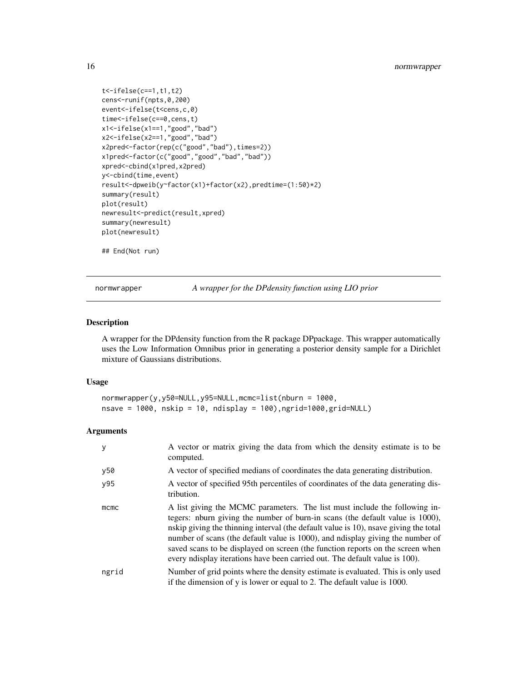```
t<-ifelse(c==1,t1,t2)
cens<-runif(npts,0,200)
event<-ifelse(t<cens,c,0)
time<-ifelse(c==0,cens,t)
x1<-ifelse(x1==1,"good","bad")
x2<-ifelse(x2==1,"good","bad")
x2pred<-factor(rep(c("good","bad"),times=2))
x1pred<-factor(c("good","good","bad","bad"))
xpred<-cbind(x1pred,x2pred)
y<-cbind(time,event)
result<-dpweib(y~factor(x1)+factor(x2),predtime=(1:50)*2)
summary(result)
plot(result)
newresult<-predict(result,xpred)
summary(newresult)
plot(newresult)
## End(Not run)
```
normwrapper *A wrapper for the DPdensity function using LIO prior*

#### Description

A wrapper for the DPdensity function from the R package DPpackage. This wrapper automatically uses the Low Information Omnibus prior in generating a posterior density sample for a Dirichlet mixture of Gaussians distributions.

### Usage

```
normwrapper(y,y50=NULL,y95=NULL,mcmc=list(nburn = 1000,
nsave = 1000, nskip = 10, ndisplay = 100),ngrid=1000,grid=NULL)
```
#### **Arguments**

| y     | A vector or matrix giving the data from which the density estimate is to be<br>computed.                                                                                                                                                                                                                                                                                                                                                                                                                         |
|-------|------------------------------------------------------------------------------------------------------------------------------------------------------------------------------------------------------------------------------------------------------------------------------------------------------------------------------------------------------------------------------------------------------------------------------------------------------------------------------------------------------------------|
| y50   | A vector of specified medians of coordinates the data generating distribution.                                                                                                                                                                                                                                                                                                                                                                                                                                   |
| y95   | A vector of specified 95th percentiles of coordinates of the data generating dis-<br>tribution.                                                                                                                                                                                                                                                                                                                                                                                                                  |
| mcmc  | A list giving the MCMC parameters. The list must include the following in-<br>tegers: nburn giving the number of burn-in scans (the default value is 1000),<br>nskip giving the thinning interval (the default value is 10), nsave giving the total<br>number of scans (the default value is 1000), and ndisplay giving the number of<br>saved scans to be displayed on screen (the function reports on the screen when<br>every not is expected by iterations have been carried out. The default value is 100). |
| ngrid | Number of grid points where the density estimate is evaluated. This is only used<br>if the dimension of y is lower or equal to 2. The default value is 1000.                                                                                                                                                                                                                                                                                                                                                     |

<span id="page-15-0"></span>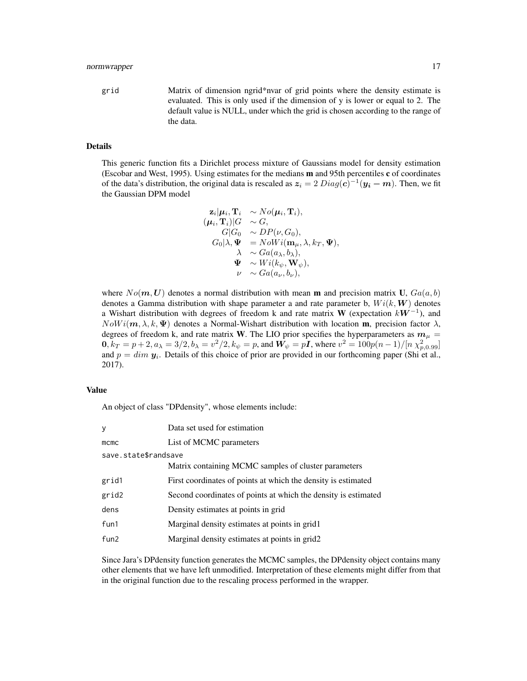grid Matrix of dimension ngrid\*nvar of grid points where the density estimate is evaluated. This is only used if the dimension of y is lower or equal to 2. The default value is NULL, under which the grid is chosen according to the range of the data.

## Details

This generic function fits a Dirichlet process mixture of Gaussians model for density estimation (Escobar and West, 1995). Using estimates for the medians m and 95th percentiles c of coordinates of the data's distribution, the original data is rescaled as  $z_i = 2 \, Diag(c)^{-1} (y_i - m)$ . Then, we fit the Gaussian DPM model

$$
\mathbf{z}_{i}|\boldsymbol{\mu}_{i}, \mathbf{T}_{i} \sim No(\boldsymbol{\mu}_{i}, \mathbf{T}_{i}),\n(\boldsymbol{\mu}_{i}, \mathbf{T}_{i})|G \sim G,\nG|G_{0} \sim DP(\nu, G_{0}),\nG_{0}|\lambda, \Psi = NowVi(\mathbf{m}_{\mu}, \lambda, k_{T}, \Psi),\n\lambda \sim Ga(a_{\lambda}, b_{\lambda}),\n\Psi \sim Wi(k_{\psi}, \mathbf{W}_{\psi}),\n\nu \sim Ga(a_{\nu}, b_{\nu}),
$$

where  $No(m, U)$  denotes a normal distribution with mean **m** and precision matrix U,  $Ga(a, b)$ denotes a Gamma distribution with shape parameter a and rate parameter b,  $Wi(k, W)$  denotes a Wishart distribution with degrees of freedom k and rate matrix W (expectation  $kW^{-1}$ ), and  $Now i(m, \lambda, k, \Psi)$  denotes a Normal-Wishart distribution with location m, precision factor  $\lambda$ , degrees of freedom k, and rate matrix W. The LIO prior specifies the hyperparameters as  $m_{\mu} =$  $0, k_T = p + 2, a_\lambda = 3/2, b_\lambda = v^2/2, k_\psi = p$ , and  $W_\psi = pI$ , where  $v^2 = 100p(n-1)/[n \chi^2_{p,0.99}]$ and  $p = dim y_i$ . Details of this choice of prior are provided in our forthcoming paper (Shi et al., 2017).

#### Value

An object of class "DPdensity", whose elements include:

| У                    | Data set used for estimation                                   |
|----------------------|----------------------------------------------------------------|
| mcmc                 | List of MCMC parameters                                        |
| save.state\$randsave |                                                                |
|                      | Matrix containing MCMC samples of cluster parameters           |
| grid1                | First coordinates of points at which the density is estimated  |
| grid2                | Second coordinates of points at which the density is estimated |
| dens                 | Density estimates at points in grid                            |
| fun1                 | Marginal density estimates at points in grid1                  |
| fun <sub>2</sub>     | Marginal density estimates at points in grid2                  |
|                      |                                                                |

Since Jara's DPdensity function generates the MCMC samples, the DPdensity object contains many other elements that we have left unmodified. Interpretation of these elements might differ from that in the original function due to the rescaling process performed in the wrapper.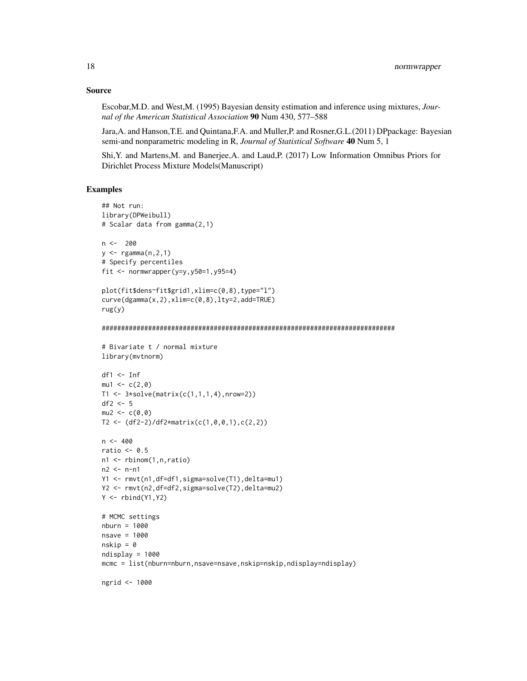#### Source

Escobar,M.D. and West,M. (1995) Bayesian density estimation and inference using mixtures, *Journal of the American Statistical Association* 90 Num 430, 577–588

Jara,A. and Hanson,T.E. and Quintana,F.A. and Muller,P. and Rosner,G.L.(2011) DPpackage: Bayesian semi-and nonparametric modeling in R, *Journal of Statistical Software* 40 Num 5, 1

Shi,Y. and Martens,M. and Banerjee,A. and Laud,P. (2017) Low Information Omnibus Priors for Dirichlet Process Mixture Models(Manuscript)

#### Examples

```
## Not run:
library(DPWeibull)
# Scalar data from gamma(2,1)
n < -200y <- rgamma(n,2,1)
# Specify percentiles
fit \leq normwrapper(y=y,y50=1,y95=4)
plot(fit$dens~fit$grid1,xlim=c(0,8),type="l")
curve(dgamma(x,2),xlim=c(0,8),lty=2,add=TRUE)
rug(y)
############################################################################
# Bivariate t / normal mixture
library(mvtnorm)
df1 <- Inf
mu1 < -c(2,0)T1 < -3*solve(maxrix(c(1,1,1,4),nrow=2))df2 < -5mu2 < -c(0, 0)T2 <- (df2-2)/df2*matrix(c(1,0,0,1),c(2,2))
n < -400ratio <-0.5n1 <- rbinom(1,n,ratio)
n2 < - n - n1Y1 <- rmvt(n1,df=df1,sigma=solve(T1),delta=mu1)
Y2 <- rmvt(n2,df=df2,sigma=solve(T2),delta=mu2)
Y \leftarrow \text{rbind}(Y1, Y2)# MCMC settings
nburn = 1000
nsave = 1000
nskip = <math>0</math>ndisplay = 1000
mcmc = list(nburn=nburn,nsave=nsave,nskip=nskip,ndisplay=ndisplay)
ngrid <- 1000
```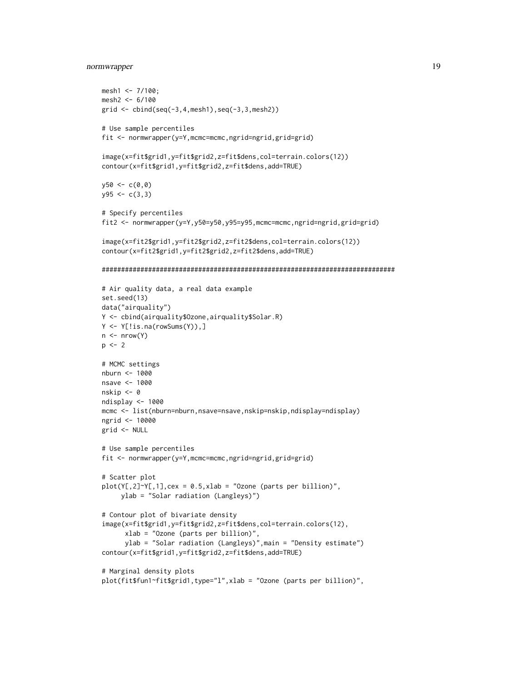## normwrapper 19

```
mesh1 <- 7/100;
mesh2 <- 6/100
grid <- cbind(seq(-3,4,mesh1),seq(-3,3,mesh2))
# Use sample percentiles
fit <- normwrapper(y=Y,mcmc=mcmc,ngrid=ngrid,grid=grid)
image(x=fit$grid1,y=fit$grid2,z=fit$dens,col=terrain.colors(12))
contour(x=fit$grid1,y=fit$grid2,z=fit$dens,add=TRUE)
y50 < -c(0, 0)y95 \leftarrow c(3,3)# Specify percentiles
fit2 <- normwrapper(y=Y,y50=y50,y95=y95,mcmc=mcmc,ngrid=ngrid,grid=grid)
image(x=fit2$grid1,y=fit2$grid2,z=fit2$dens,col=terrain.colors(12))
contour(x=fit2$grid1,y=fit2$grid2,z=fit2$dens,add=TRUE)
############################################################################
# Air quality data, a real data example
set.seed(13)
data("airquality")
Y <- cbind(airquality$Ozone,airquality$Solar.R)
Y <- Y[!is.na(rowSums(Y)),]
n \leftarrow nrow(Y)p \le -2# MCMC settings
nburn <- 1000
nsave <- 1000
nskip <- 0
ndisplay <- 1000
mcmc <- list(nburn=nburn,nsave=nsave,nskip=nskip,ndisplay=ndisplay)
ngrid <- 10000
grid <- NULL
# Use sample percentiles
fit <- normwrapper(y=Y,mcmc=mcmc,ngrid=ngrid,grid=grid)
# Scatter plot
plot(Y[,2]\gamma Y[,1], cex = 0.5, xlab = "Ozone (parts per billion)",ylab = "Solar radiation (Langleys)")
# Contour plot of bivariate density
image(x=fit$grid1,y=fit$grid2,z=fit$dens,col=terrain.colors(12),
      xlab = "Ozone (parts per billion)",
      ylab = "Solar radiation (Langleys)",main = "Density estimate")
contour(x=fit$grid1,y=fit$grid2,z=fit$dens,add=TRUE)
# Marginal density plots
plot(fit$fun1~fit$grid1,type="l",xlab = "Ozone (parts per billion)",
```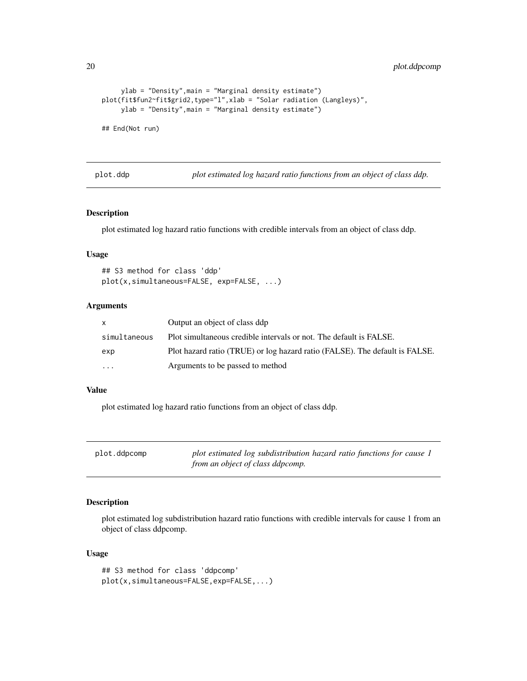<span id="page-19-0"></span>20 plot.ddpcomp

```
ylab = "Density",main = "Marginal density estimate")
plot(fit$fun2~fit$grid2,type="l",xlab = "Solar radiation (Langleys)",
    ylab = "Density",main = "Marginal density estimate")
## End(Not run)
```
plot.ddp *plot estimated log hazard ratio functions from an object of class ddp.*

## Description

plot estimated log hazard ratio functions with credible intervals from an object of class ddp.

#### Usage

```
## S3 method for class 'ddp'
plot(x,simultaneous=FALSE, exp=FALSE, ...)
```
#### Arguments

| x.                      | Output an object of class ddp                                               |
|-------------------------|-----------------------------------------------------------------------------|
| simultaneous            | Plot simultaneous credible intervals or not. The default is FALSE.          |
| exp                     | Plot hazard ratio (TRUE) or log hazard ratio (FALSE). The default is FALSE. |
| $\cdot$ $\cdot$ $\cdot$ | Arguments to be passed to method                                            |

#### Value

plot estimated log hazard ratio functions from an object of class ddp.

plot.ddpcomp *plot estimated log subdistribution hazard ratio functions for cause 1 from an object of class ddpcomp.*

## Description

plot estimated log subdistribution hazard ratio functions with credible intervals for cause 1 from an object of class ddpcomp.

#### Usage

```
## S3 method for class 'ddpcomp'
plot(x,simultaneous=FALSE,exp=FALSE,...)
```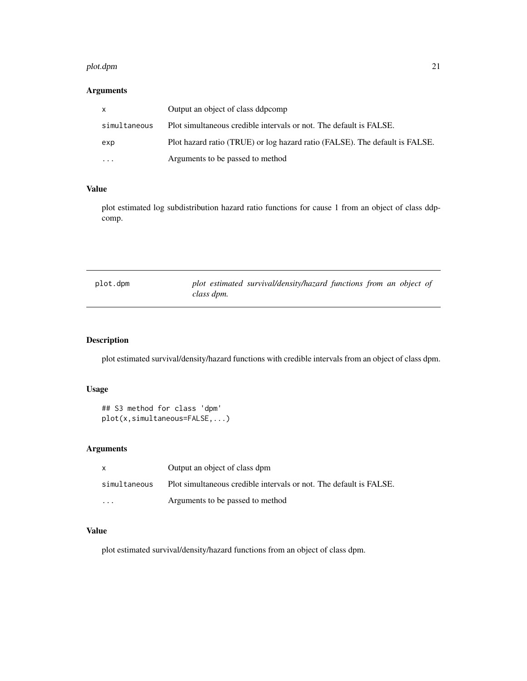#### <span id="page-20-0"></span>plot.dpm 21

## Arguments

|              | Output an object of class ddpcomp                                           |
|--------------|-----------------------------------------------------------------------------|
| simultaneous | Plot simultaneous credible intervals or not. The default is FALSE.          |
| exp          | Plot hazard ratio (TRUE) or log hazard ratio (FALSE). The default is FALSE. |
| $\cdots$     | Arguments to be passed to method                                            |

#### Value

plot estimated log subdistribution hazard ratio functions for cause 1 from an object of class ddpcomp.

| plot.dpm |            | plot estimated survival/density/hazard functions from an object of |  |  |  |
|----------|------------|--------------------------------------------------------------------|--|--|--|
|          | class dpm. |                                                                    |  |  |  |

## Description

plot estimated survival/density/hazard functions with credible intervals from an object of class dpm.

## Usage

```
## S3 method for class 'dpm'
plot(x,simultaneous=FALSE,...)
```
## Arguments

|                         | Output an object of class dpm                                      |
|-------------------------|--------------------------------------------------------------------|
| simultaneous            | Plot simultaneous credible intervals or not. The default is FALSE. |
| $\cdot$ $\cdot$ $\cdot$ | Arguments to be passed to method                                   |

#### Value

plot estimated survival/density/hazard functions from an object of class dpm.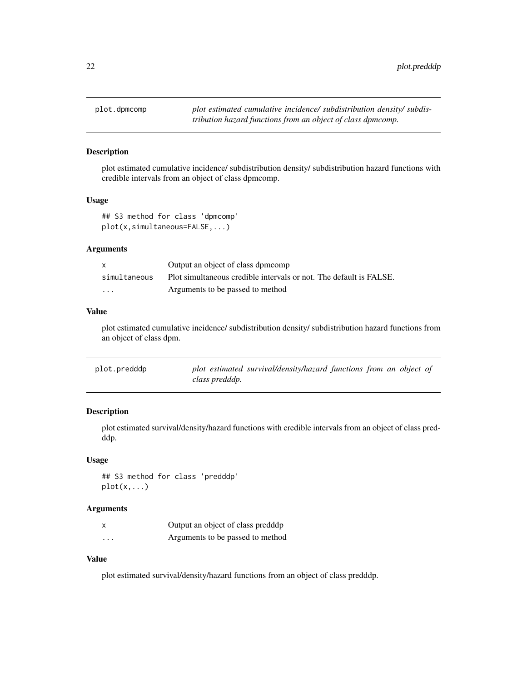<span id="page-21-0"></span>

plot estimated cumulative incidence/ subdistribution density/ subdistribution hazard functions with credible intervals from an object of class dpmcomp.

#### Usage

## S3 method for class 'dpmcomp' plot(x,simultaneous=FALSE,...)

#### Arguments

| $\mathsf{x}$ | Output an object of class dpmcomp                                  |
|--------------|--------------------------------------------------------------------|
| simultaneous | Plot simultaneous credible intervals or not. The default is FALSE. |
| .            | Arguments to be passed to method                                   |

## Value

plot estimated cumulative incidence/ subdistribution density/ subdistribution hazard functions from an object of class dpm.

| plot.predddp | plot estimated survival/density/hazard functions from an object of |  |  |  |
|--------------|--------------------------------------------------------------------|--|--|--|
|              | class predddp.                                                     |  |  |  |

## Description

plot estimated survival/density/hazard functions with credible intervals from an object of class predddp.

#### Usage

## S3 method for class 'predddp' plot(x,...)

#### Arguments

|          | Output an object of class predddp |
|----------|-----------------------------------|
| $\cdots$ | Arguments to be passed to method  |

## Value

plot estimated survival/density/hazard functions from an object of class predddp.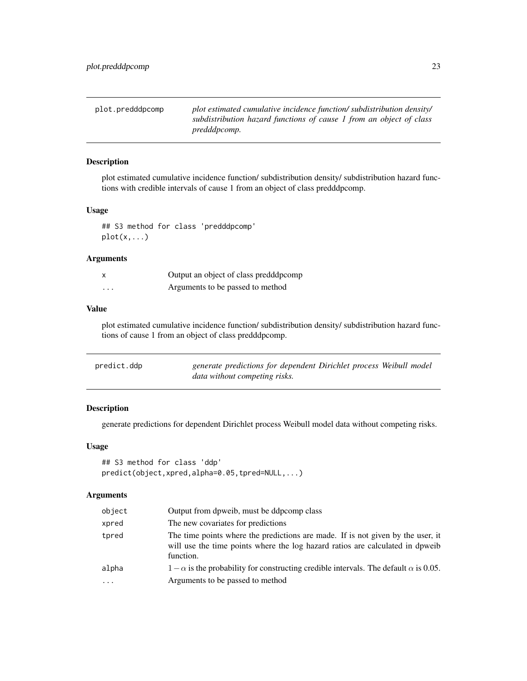<span id="page-22-0"></span>

| plot.predddpcomp | plot estimated cumulative incidence function/subdistribution density/ |
|------------------|-----------------------------------------------------------------------|
|                  | subdistribution hazard functions of cause 1 from an object of class   |
|                  | <i>predddpcomp.</i>                                                   |

plot estimated cumulative incidence function/ subdistribution density/ subdistribution hazard functions with credible intervals of cause 1 from an object of class predddpcomp.

#### Usage

## S3 method for class 'predddpcomp' plot(x,...)

#### Arguments

|   | Output an object of class predddpcomp |
|---|---------------------------------------|
| . | Arguments to be passed to method      |

#### Value

plot estimated cumulative incidence function/ subdistribution density/ subdistribution hazard functions of cause 1 from an object of class predddpcomp.

| predict.ddp | generate predictions for dependent Dirichlet process Weibull model |
|-------------|--------------------------------------------------------------------|
|             | data without competing risks.                                      |

#### Description

generate predictions for dependent Dirichlet process Weibull model data without competing risks.

#### Usage

```
## S3 method for class 'ddp'
predict(object,xpred,alpha=0.05,tpred=NULL,...)
```
#### Arguments

| object    | Output from dpweib, must be ddpcomp class                                                                                                                                     |
|-----------|-------------------------------------------------------------------------------------------------------------------------------------------------------------------------------|
| xpred     | The new covariates for predictions                                                                                                                                            |
| tpred     | The time points where the predictions are made. If is not given by the user, it<br>will use the time points where the log hazard ratios are calculated in dpweib<br>function. |
| alpha     | $1-\alpha$ is the probability for constructing credible intervals. The default $\alpha$ is 0.05.                                                                              |
| $\ddotsc$ | Arguments to be passed to method                                                                                                                                              |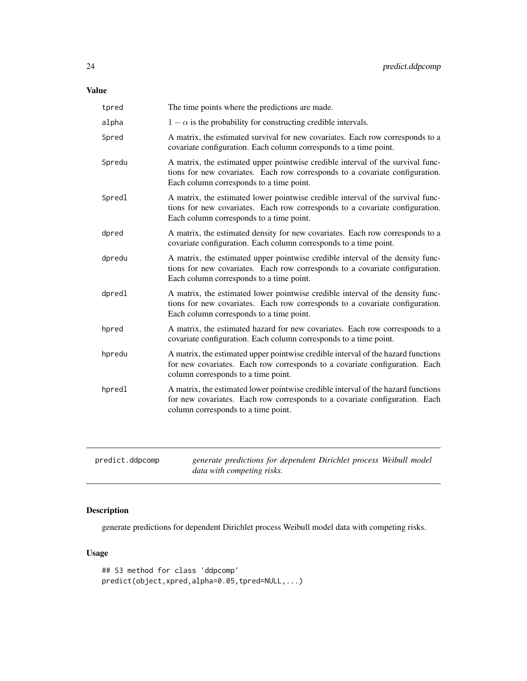## <span id="page-23-0"></span>Value

| tpred  | The time points where the predictions are made.                                                                                                                                                             |
|--------|-------------------------------------------------------------------------------------------------------------------------------------------------------------------------------------------------------------|
| alpha  | $1 - \alpha$ is the probability for constructing credible intervals.                                                                                                                                        |
| Spred  | A matrix, the estimated survival for new covariates. Each row corresponds to a<br>covariate configuration. Each column corresponds to a time point.                                                         |
| Spredu | A matrix, the estimated upper pointwise credible interval of the survival func-<br>tions for new covariates. Each row corresponds to a covariate configuration.<br>Each column corresponds to a time point. |
| Spredl | A matrix, the estimated lower pointwise credible interval of the survival func-<br>tions for new covariates. Each row corresponds to a covariate configuration.<br>Each column corresponds to a time point. |
| dpred  | A matrix, the estimated density for new covariates. Each row corresponds to a<br>covariate configuration. Each column corresponds to a time point.                                                          |
| dpredu | A matrix, the estimated upper pointwise credible interval of the density func-<br>tions for new covariates. Each row corresponds to a covariate configuration.<br>Each column corresponds to a time point.  |
| dpredl | A matrix, the estimated lower pointwise credible interval of the density func-<br>tions for new covariates. Each row corresponds to a covariate configuration.<br>Each column corresponds to a time point.  |
| hpred  | A matrix, the estimated hazard for new covariates. Each row corresponds to a<br>covariate configuration. Each column corresponds to a time point.                                                           |
| hpredu | A matrix, the estimated upper pointwise credible interval of the hazard functions<br>for new covariates. Each row corresponds to a covariate configuration. Each<br>column corresponds to a time point.     |
| hpredl | A matrix, the estimated lower pointwise credible interval of the hazard functions<br>for new covariates. Each row corresponds to a covariate configuration. Each<br>column corresponds to a time point.     |
|        |                                                                                                                                                                                                             |

| predict.ddpcomp | generate predictions for dependent Dirichlet process Weibull model |  |
|-----------------|--------------------------------------------------------------------|--|
|                 | data with competing risks.                                         |  |

## Description

generate predictions for dependent Dirichlet process Weibull model data with competing risks.

## Usage

```
## S3 method for class 'ddpcomp'
predict(object,xpred,alpha=0.05,tpred=NULL,...)
```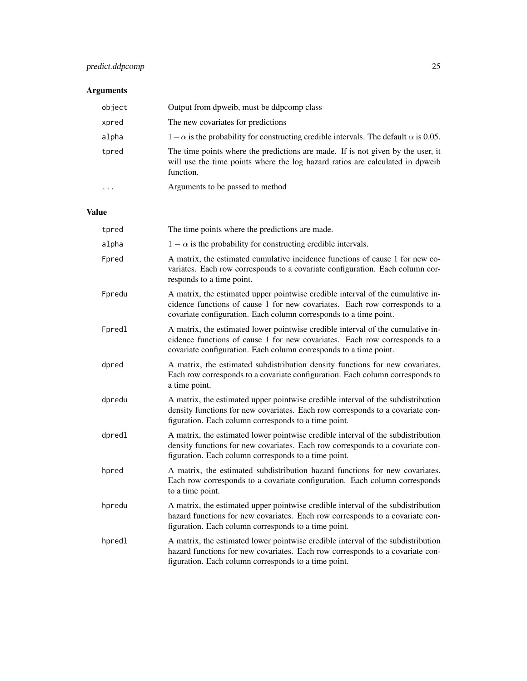## predict.ddpcomp 25

## Arguments

| object    | Output from dpweib, must be ddpcomp class                                                                                                                                     |
|-----------|-------------------------------------------------------------------------------------------------------------------------------------------------------------------------------|
| xpred     | The new covariates for predictions                                                                                                                                            |
| alpha     | $1 - \alpha$ is the probability for constructing credible intervals. The default $\alpha$ is 0.05.                                                                            |
| tpred     | The time points where the predictions are made. If is not given by the user, it<br>will use the time points where the log hazard ratios are calculated in dpweib<br>function. |
| $\ddotsc$ | Arguments to be passed to method                                                                                                                                              |

## Value

| tpred  | The time points where the predictions are made.                                                                                                                                                                                    |
|--------|------------------------------------------------------------------------------------------------------------------------------------------------------------------------------------------------------------------------------------|
| alpha  | $1 - \alpha$ is the probability for constructing credible intervals.                                                                                                                                                               |
| Fpred  | A matrix, the estimated cumulative incidence functions of cause 1 for new co-<br>variates. Each row corresponds to a covariate configuration. Each column cor-<br>responds to a time point.                                        |
| Fpredu | A matrix, the estimated upper pointwise credible interval of the cumulative in-<br>cidence functions of cause 1 for new covariates. Each row corresponds to a<br>covariate configuration. Each column corresponds to a time point. |
| Fpredl | A matrix, the estimated lower pointwise credible interval of the cumulative in-<br>cidence functions of cause 1 for new covariates. Each row corresponds to a<br>covariate configuration. Each column corresponds to a time point. |
| dpred  | A matrix, the estimated subdistribution density functions for new covariates.<br>Each row corresponds to a covariate configuration. Each column corresponds to<br>a time point.                                                    |
| dpredu | A matrix, the estimated upper pointwise credible interval of the subdistribution<br>density functions for new covariates. Each row corresponds to a covariate con-<br>figuration. Each column corresponds to a time point.         |
| dpredl | A matrix, the estimated lower pointwise credible interval of the subdistribution<br>density functions for new covariates. Each row corresponds to a covariate con-<br>figuration. Each column corresponds to a time point.         |
| hpred  | A matrix, the estimated subdistribution hazard functions for new covariates.<br>Each row corresponds to a covariate configuration. Each column corresponds<br>to a time point.                                                     |
| hpredu | A matrix, the estimated upper pointwise credible interval of the subdistribution<br>hazard functions for new covariates. Each row corresponds to a covariate con-<br>figuration. Each column corresponds to a time point.          |
| hpredl | A matrix, the estimated lower pointwise credible interval of the subdistribution<br>hazard functions for new covariates. Each row corresponds to a covariate con-<br>figuration. Each column corresponds to a time point.          |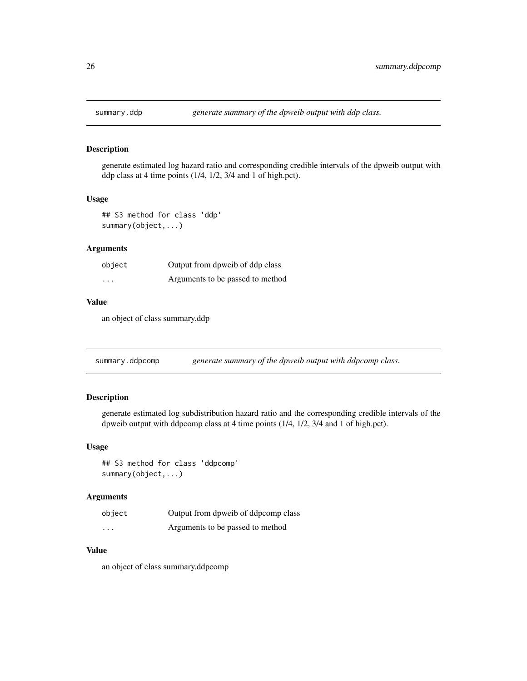<span id="page-25-0"></span>

generate estimated log hazard ratio and corresponding credible intervals of the dpweib output with ddp class at 4 time points (1/4, 1/2, 3/4 and 1 of high.pct).

#### Usage

## S3 method for class 'ddp' summary(object,...)

#### Arguments

| object  | Output from dpweib of ddp class  |
|---------|----------------------------------|
| $\cdot$ | Arguments to be passed to method |

#### Value

an object of class summary.ddp

summary.ddpcomp *generate summary of the dpweib output with ddpcomp class.*

## Description

generate estimated log subdistribution hazard ratio and the corresponding credible intervals of the dpweib output with ddpcomp class at 4 time points (1/4, 1/2, 3/4 and 1 of high.pct).

#### Usage

## S3 method for class 'ddpcomp' summary(object,...)

#### Arguments

| object   | Output from dpweib of ddpcomp class |
|----------|-------------------------------------|
| $\cdots$ | Arguments to be passed to method    |

#### Value

an object of class summary.ddpcomp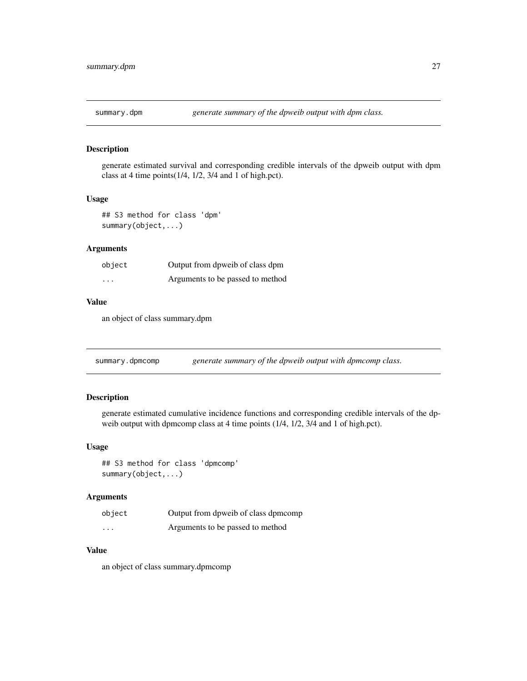<span id="page-26-0"></span>

generate estimated survival and corresponding credible intervals of the dpweib output with dpm class at 4 time points(1/4, 1/2, 3/4 and 1 of high.pct).

#### Usage

## S3 method for class 'dpm' summary(object,...)

#### Arguments

| object  | Output from dpweib of class dpm  |
|---------|----------------------------------|
| $\cdot$ | Arguments to be passed to method |

#### Value

an object of class summary.dpm

summary.dpmcomp *generate summary of the dpweib output with dpmcomp class.* 

#### Description

generate estimated cumulative incidence functions and corresponding credible intervals of the dpweib output with dpmcomp class at 4 time points (1/4, 1/2, 3/4 and 1 of high.pct).

#### Usage

## S3 method for class 'dpmcomp' summary(object,...)

#### Arguments

| object   | Output from dpweib of class dpmcomp |
|----------|-------------------------------------|
| $\cdots$ | Arguments to be passed to method    |

#### Value

an object of class summary.dpmcomp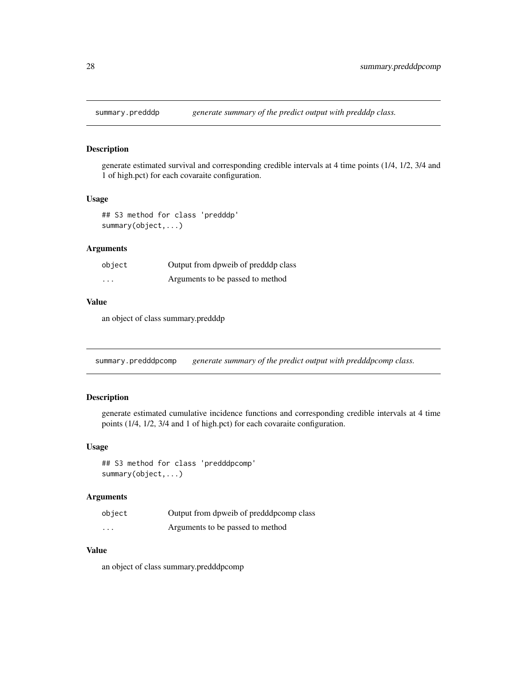<span id="page-27-0"></span>

generate estimated survival and corresponding credible intervals at 4 time points (1/4, 1/2, 3/4 and 1 of high.pct) for each covaraite configuration.

#### Usage

## S3 method for class 'predddp' summary(object,...)

#### Arguments

| object   | Output from dpweib of predddp class |
|----------|-------------------------------------|
| $\cdots$ | Arguments to be passed to method    |

#### Value

an object of class summary.predddp

summary.predddpcomp *generate summary of the predict output with predddpcomp class.*

## Description

generate estimated cumulative incidence functions and corresponding credible intervals at 4 time points (1/4, 1/2, 3/4 and 1 of high.pct) for each covaraite configuration.

#### Usage

## S3 method for class 'predddpcomp' summary(object,...)

#### Arguments

| object   | Output from dpweib of predddpcomp class |
|----------|-----------------------------------------|
| $\cdots$ | Arguments to be passed to method        |

#### Value

an object of class summary.predddpcomp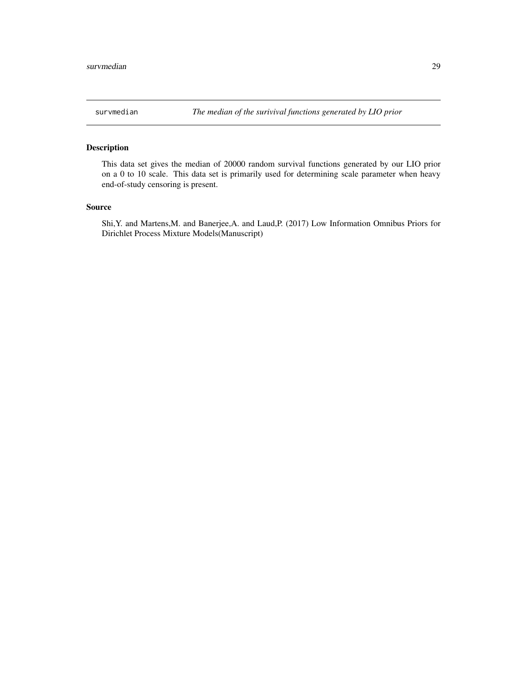<span id="page-28-0"></span>

This data set gives the median of 20000 random survival functions generated by our LIO prior on a 0 to 10 scale. This data set is primarily used for determining scale parameter when heavy end-of-study censoring is present.

#### Source

Shi,Y. and Martens,M. and Banerjee,A. and Laud,P. (2017) Low Information Omnibus Priors for Dirichlet Process Mixture Models(Manuscript)